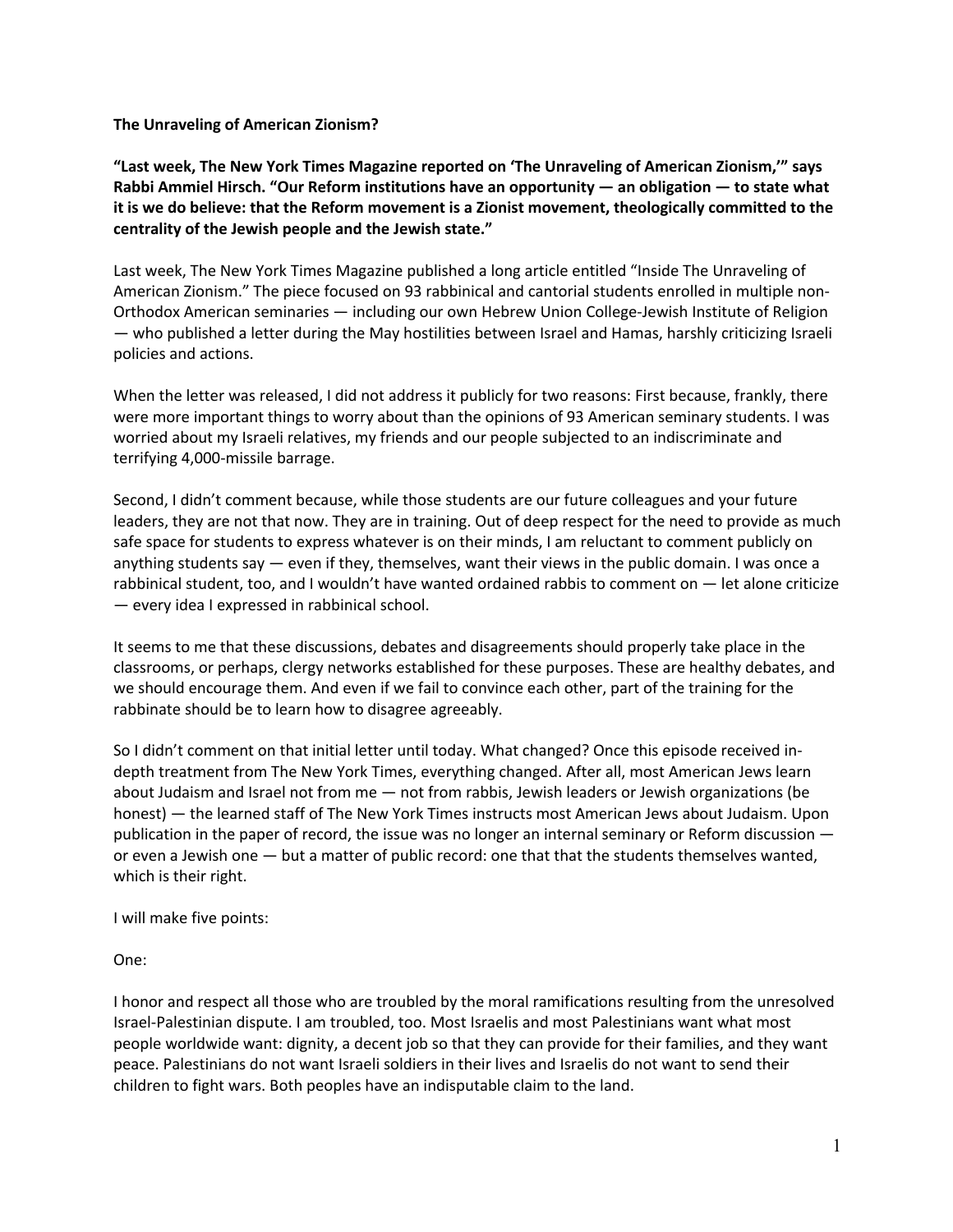**The Unraveling of American Zionism?**

**"Last week, The New York Times Magazine reported on 'The Unraveling of American Zionism,'" says Rabbi Ammiel Hirsch. "Our Reform institutions have an opportunity — an obligation — to state what it is we do believe: that the Reform movement is a Zionist movement, theologically committed to the centrality of the Jewish people and the Jewish state."**

Last week, The New York Times Magazine published a long article entitled "Inside The Unraveling of American Zionism." The piece focused on 93 rabbinical and cantorial students enrolled in multiple non-Orthodox American seminaries — including our own Hebrew Union College-Jewish Institute of Religion — who published a letter during the May hostilities between Israel and Hamas, harshly criticizing Israeli policies and actions.

When the letter was released, I did not address it publicly for two reasons: First because, frankly, there were more important things to worry about than the opinions of 93 American seminary students. I was worried about my Israeli relatives, my friends and our people subjected to an indiscriminate and terrifying 4,000-missile barrage.

Second, I didn't comment because, while those students are our future colleagues and your future leaders, they are not that now. They are in training. Out of deep respect for the need to provide as much safe space for students to express whatever is on their minds, I am reluctant to comment publicly on anything students say — even if they, themselves, want their views in the public domain. I was once a rabbinical student, too, and I wouldn't have wanted ordained rabbis to comment on — let alone criticize — every idea I expressed in rabbinical school.

It seems to me that these discussions, debates and disagreements should properly take place in the classrooms, or perhaps, clergy networks established for these purposes. These are healthy debates, and we should encourage them. And even if we fail to convince each other, part of the training for the rabbinate should be to learn how to disagree agreeably.

So I didn't comment on that initial letter until today. What changed? Once this episode received indepth treatment from The New York Times, everything changed. After all, most American Jews learn about Judaism and Israel not from me — not from rabbis, Jewish leaders or Jewish organizations (be honest) — the learned staff of The New York Times instructs most American Jews about Judaism. Upon publication in the paper of record, the issue was no longer an internal seminary or Reform discussion or even a Jewish one — but a matter of public record: one that that the students themselves wanted, which is their right.

I will make five points:

One:

I honor and respect all those who are troubled by the moral ramifications resulting from the unresolved Israel-Palestinian dispute. I am troubled, too. Most Israelis and most Palestinians want what most people worldwide want: dignity, a decent job so that they can provide for their families, and they want peace. Palestinians do not want Israeli soldiers in their lives and Israelis do not want to send their children to fight wars. Both peoples have an indisputable claim to the land.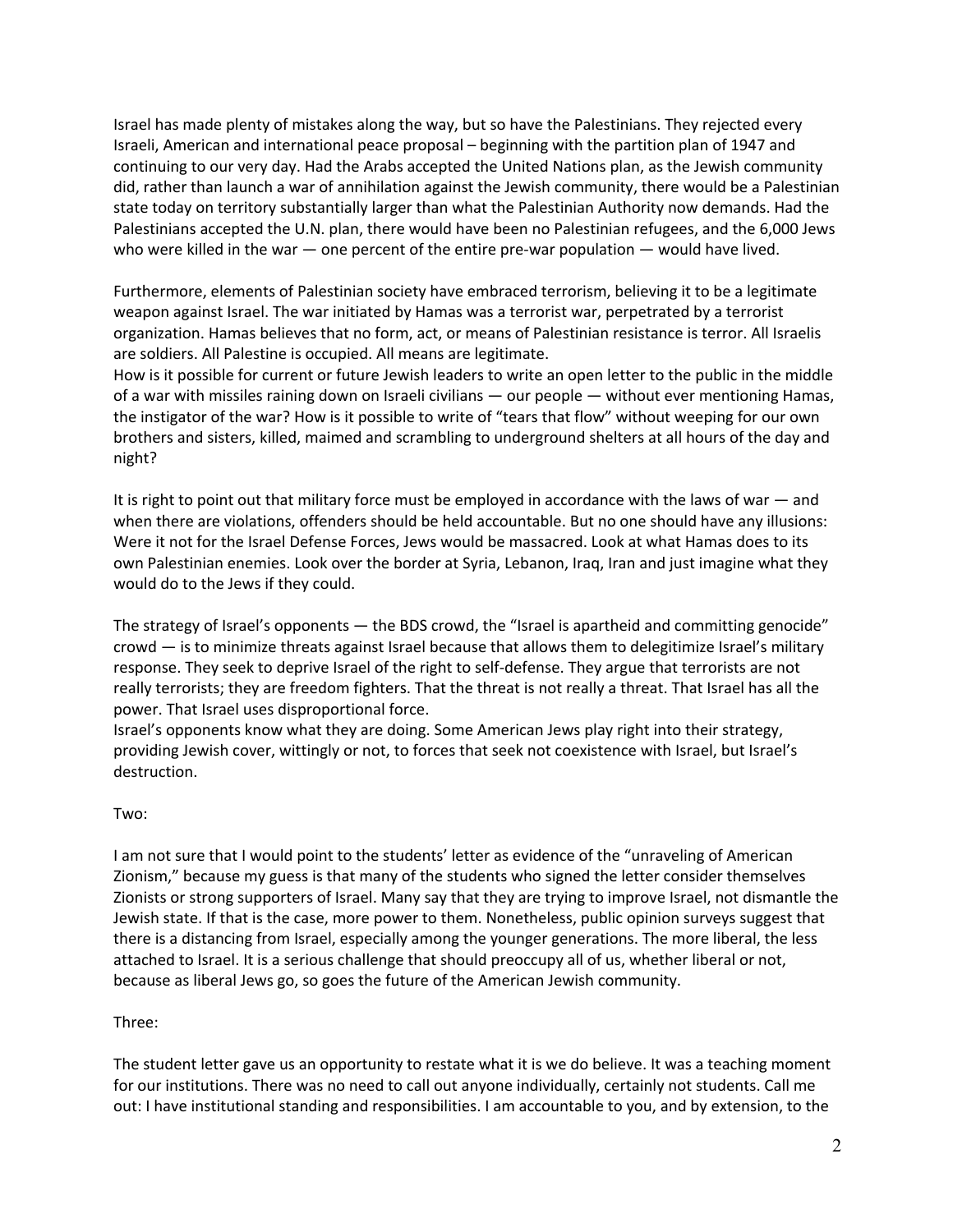Israel has made plenty of mistakes along the way, but so have the Palestinians. They rejected every Israeli, American and international peace proposal – beginning with the partition plan of 1947 and continuing to our very day. Had the Arabs accepted the United Nations plan, as the Jewish community did, rather than launch a war of annihilation against the Jewish community, there would be a Palestinian state today on territory substantially larger than what the Palestinian Authority now demands. Had the Palestinians accepted the U.N. plan, there would have been no Palestinian refugees, and the 6,000 Jews who were killed in the war — one percent of the entire pre-war population — would have lived.

Furthermore, elements of Palestinian society have embraced terrorism, believing it to be a legitimate weapon against Israel. The war initiated by Hamas was a terrorist war, perpetrated by a terrorist organization. Hamas believes that no form, act, or means of Palestinian resistance is terror. All Israelis are soldiers. All Palestine is occupied. All means are legitimate.

How is it possible for current or future Jewish leaders to write an open letter to the public in the middle of a war with missiles raining down on Israeli civilians — our people — without ever mentioning Hamas, the instigator of the war? How is it possible to write of "tears that flow" without weeping for our own brothers and sisters, killed, maimed and scrambling to underground shelters at all hours of the day and night?

It is right to point out that military force must be employed in accordance with the laws of war — and when there are violations, offenders should be held accountable. But no one should have any illusions: Were it not for the Israel Defense Forces, Jews would be massacred. Look at what Hamas does to its own Palestinian enemies. Look over the border at Syria, Lebanon, Iraq, Iran and just imagine what they would do to the Jews if they could.

The strategy of Israel's opponents — the BDS crowd, the "Israel is apartheid and committing genocide" crowd — is to minimize threats against Israel because that allows them to delegitimize Israel's military response. They seek to deprive Israel of the right to self-defense. They argue that terrorists are not really terrorists; they are freedom fighters. That the threat is not really a threat. That Israel has all the power. That Israel uses disproportional force.

Israel's opponents know what they are doing. Some American Jews play right into their strategy, providing Jewish cover, wittingly or not, to forces that seek not coexistence with Israel, but Israel's destruction.

## Two:

I am not sure that I would point to the students' letter as evidence of the "unraveling of American Zionism," because my guess is that many of the students who signed the letter consider themselves Zionists or strong supporters of Israel. Many say that they are trying to improve Israel, not dismantle the Jewish state. If that is the case, more power to them. Nonetheless, public opinion surveys suggest that there is a distancing from Israel, especially among the younger generations. The more liberal, the less attached to Israel. It is a serious challenge that should preoccupy all of us, whether liberal or not, because as liberal Jews go, so goes the future of the American Jewish community.

## Three:

The student letter gave us an opportunity to restate what it is we do believe. It was a teaching moment for our institutions. There was no need to call out anyone individually, certainly not students. Call me out: I have institutional standing and responsibilities. I am accountable to you, and by extension, to the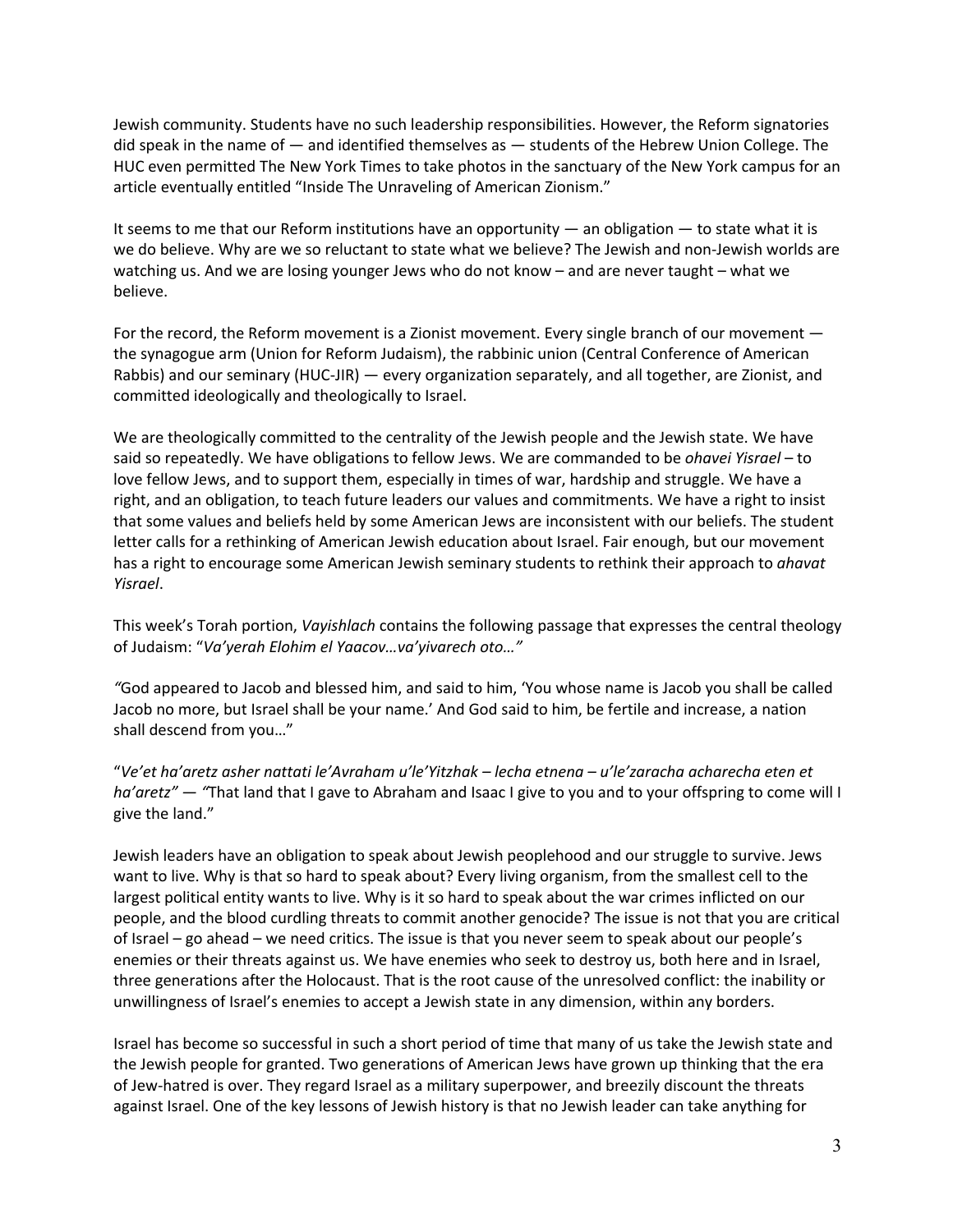Jewish community. Students have no such leadership responsibilities. However, the Reform signatories did speak in the name of — and identified themselves as — students of the Hebrew Union College. The HUC even permitted The New York Times to take photos in the sanctuary of the New York campus for an article eventually entitled "Inside The Unraveling of American Zionism."

It seems to me that our Reform institutions have an opportunity — an obligation — to state what it is we do believe. Why are we so reluctant to state what we believe? The Jewish and non-Jewish worlds are watching us. And we are losing younger Jews who do not know – and are never taught – what we believe.

For the record, the Reform movement is a Zionist movement. Every single branch of our movement the synagogue arm (Union for Reform Judaism), the rabbinic union (Central Conference of American Rabbis) and our seminary (HUC-JIR) — every organization separately, and all together, are Zionist, and committed ideologically and theologically to Israel.

We are theologically committed to the centrality of the Jewish people and the Jewish state. We have said so repeatedly. We have obligations to fellow Jews. We are commanded to be *ohavei Yisrael* – to love fellow Jews, and to support them, especially in times of war, hardship and struggle. We have a right, and an obligation, to teach future leaders our values and commitments. We have a right to insist that some values and beliefs held by some American Jews are inconsistent with our beliefs. The student letter calls for a rethinking of American Jewish education about Israel. Fair enough, but our movement has a right to encourage some American Jewish seminary students to rethink their approach to *ahavat Yisrael*.

This week's Torah portion, *Vayishlach* contains the following passage that expresses the central theology of Judaism: "*Va'yerah Elohim el Yaacov…va'yivarech oto…"*

*"*God appeared to Jacob and blessed him, and said to him, 'You whose name is Jacob you shall be called Jacob no more, but Israel shall be your name.' And God said to him, be fertile and increase, a nation shall descend from you…"

"*Ve'et ha'aretz asher nattati le'Avraham u'le'Yitzhak – lecha etnena – u'le'zaracha acharecha eten et ha'aretz" — "*That land that I gave to Abraham and Isaac I give to you and to your offspring to come will I give the land."

Jewish leaders have an obligation to speak about Jewish peoplehood and our struggle to survive. Jews want to live. Why is that so hard to speak about? Every living organism, from the smallest cell to the largest political entity wants to live. Why is it so hard to speak about the war crimes inflicted on our people, and the blood curdling threats to commit another genocide? The issue is not that you are critical of Israel – go ahead – we need critics. The issue is that you never seem to speak about our people's enemies or their threats against us. We have enemies who seek to destroy us, both here and in Israel, three generations after the Holocaust. That is the root cause of the unresolved conflict: the inability or unwillingness of Israel's enemies to accept a Jewish state in any dimension, within any borders.

Israel has become so successful in such a short period of time that many of us take the Jewish state and the Jewish people for granted. Two generations of American Jews have grown up thinking that the era of Jew-hatred is over. They regard Israel as a military superpower, and breezily discount the threats against Israel. One of the key lessons of Jewish history is that no Jewish leader can take anything for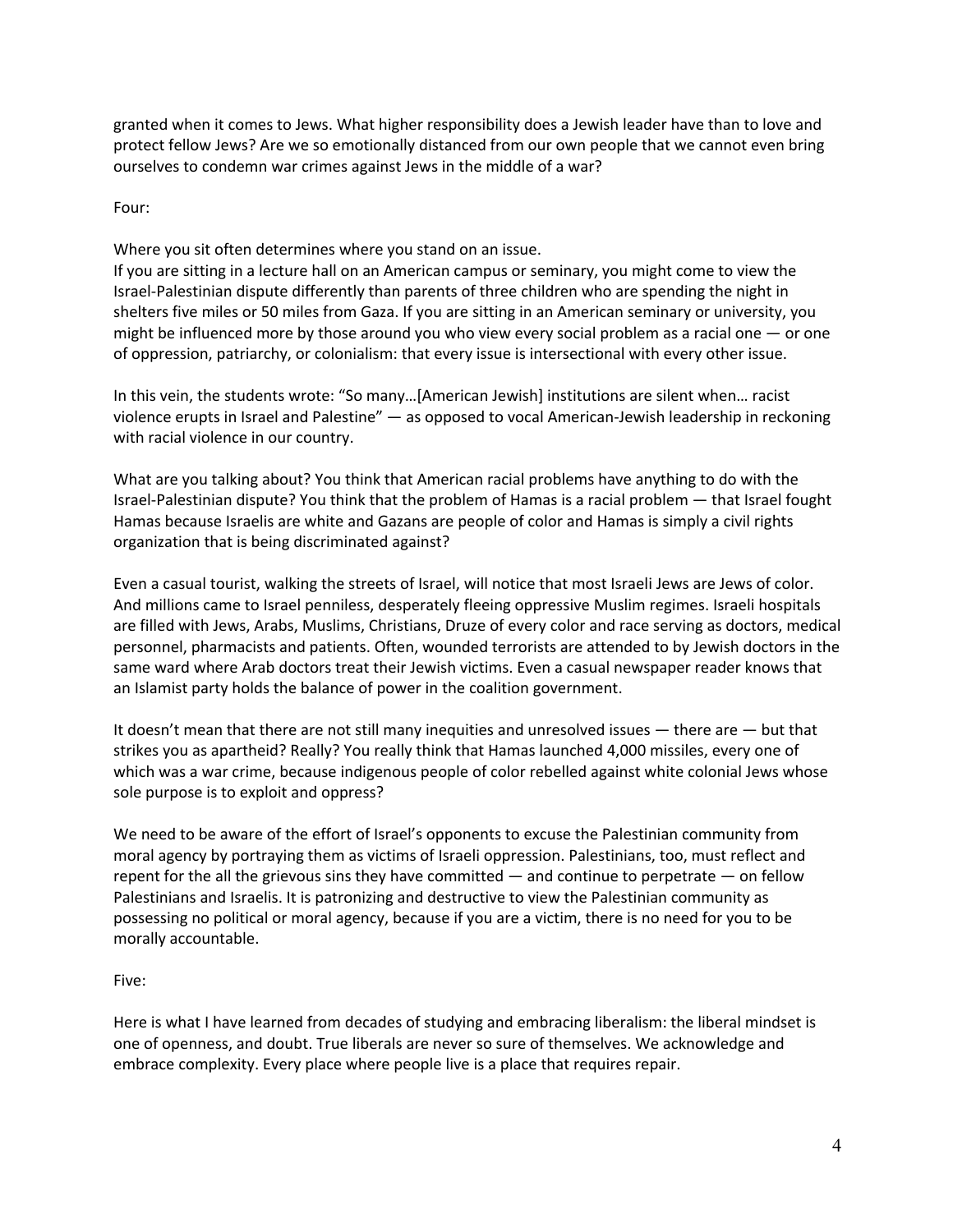granted when it comes to Jews. What higher responsibility does a Jewish leader have than to love and protect fellow Jews? Are we so emotionally distanced from our own people that we cannot even bring ourselves to condemn war crimes against Jews in the middle of a war?

Four:

Where you sit often determines where you stand on an issue.

If you are sitting in a lecture hall on an American campus or seminary, you might come to view the Israel-Palestinian dispute differently than parents of three children who are spending the night in shelters five miles or 50 miles from Gaza. If you are sitting in an American seminary or university, you might be influenced more by those around you who view every social problem as a racial one — or one of oppression, patriarchy, or colonialism: that every issue is intersectional with every other issue.

In this vein, the students wrote: "So many…[American Jewish] institutions are silent when… racist violence erupts in Israel and Palestine" — as opposed to vocal American-Jewish leadership in reckoning with racial violence in our country.

What are you talking about? You think that American racial problems have anything to do with the Israel-Palestinian dispute? You think that the problem of Hamas is a racial problem — that Israel fought Hamas because Israelis are white and Gazans are people of color and Hamas is simply a civil rights organization that is being discriminated against?

Even a casual tourist, walking the streets of Israel, will notice that most Israeli Jews are Jews of color. And millions came to Israel penniless, desperately fleeing oppressive Muslim regimes. Israeli hospitals are filled with Jews, Arabs, Muslims, Christians, Druze of every color and race serving as doctors, medical personnel, pharmacists and patients. Often, wounded terrorists are attended to by Jewish doctors in the same ward where Arab doctors treat their Jewish victims. Even a casual newspaper reader knows that an Islamist party holds the balance of power in the coalition government.

It doesn't mean that there are not still many inequities and unresolved issues — there are — but that strikes you as apartheid? Really? You really think that Hamas launched 4,000 missiles, every one of which was a war crime, because indigenous people of color rebelled against white colonial Jews whose sole purpose is to exploit and oppress?

We need to be aware of the effort of Israel's opponents to excuse the Palestinian community from moral agency by portraying them as victims of Israeli oppression. Palestinians, too, must reflect and repent for the all the grievous sins they have committed — and continue to perpetrate — on fellow Palestinians and Israelis. It is patronizing and destructive to view the Palestinian community as possessing no political or moral agency, because if you are a victim, there is no need for you to be morally accountable.

## Five:

Here is what I have learned from decades of studying and embracing liberalism: the liberal mindset is one of openness, and doubt. True liberals are never so sure of themselves. We acknowledge and embrace complexity. Every place where people live is a place that requires repair.